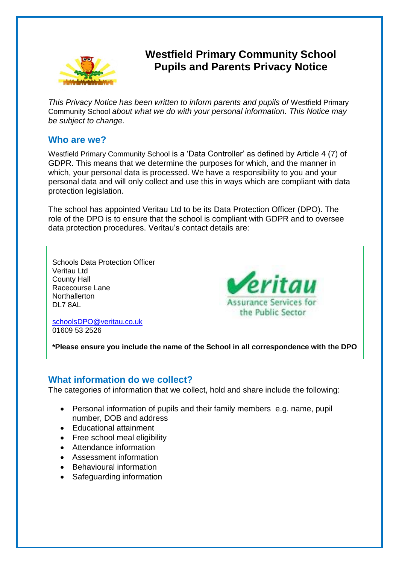

# **Westfield Primary Community School Pupils and Parents Privacy Notice**

*This Privacy Notice has been written to inform parents and pupils of* Westfield Primary Community School *about what we do with your personal information. This Notice may be subject to change.*

#### **Who are we?**

Westfield Primary Community School is a 'Data Controller' as defined by Article 4 (7) of GDPR. This means that we determine the purposes for which, and the manner in which, your personal data is processed. We have a responsibility to you and your personal data and will only collect and use this in ways which are compliant with data protection legislation.

The school has appointed Veritau Ltd to be its Data Protection Officer (DPO). The role of the DPO is to ensure that the school is compliant with GDPR and to oversee data protection procedures. Veritau's contact details are:

Schools Data Protection Officer Veritau Ltd County Hall Racecourse Lane **Northallerton** DL7 8AL



[schoolsDPO@veritau.co.uk](mailto:schoolsDPO@veritau.co.uk) 01609 53 2526

**\*Please ensure you include the name of the School in all correspondence with the DPO** 

### **What information do we collect?**

The categories of information that we collect, hold and share include the following:

- Personal information of pupils and their family members e.g. name, pupil number, DOB and address
- Educational attainment
- Free school meal eligibility
- Attendance information
- Assessment information
- Behavioural information
- Safeguarding information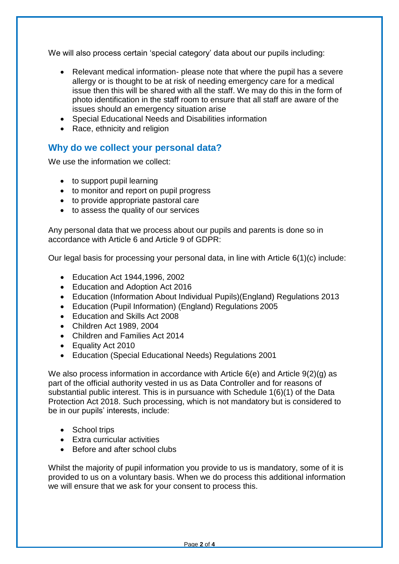We will also process certain 'special category' data about our pupils including:

- Relevant medical information- please note that where the pupil has a severe allergy or is thought to be at risk of needing emergency care for a medical issue then this will be shared with all the staff. We may do this in the form of photo identification in the staff room to ensure that all staff are aware of the issues should an emergency situation arise
- Special Educational Needs and Disabilities information
- Race, ethnicity and religion

## **Why do we collect your personal data?**

We use the information we collect:

- to support pupil learning
- to monitor and report on pupil progress
- to provide appropriate pastoral care
- to assess the quality of our services

Any personal data that we process about our pupils and parents is done so in accordance with Article 6 and Article 9 of GDPR:

Our legal basis for processing your personal data, in line with Article 6(1)(c) include:

- Education Act 1944,1996, 2002
- Education and Adoption Act 2016
- Education (Information About Individual Pupils)(England) Regulations 2013
- Education (Pupil Information) (England) Regulations 2005
- Fducation and Skills Act 2008
- Children Act 1989, 2004
- Children and Families Act 2014
- Equality Act 2010
- Education (Special Educational Needs) Regulations 2001

We also process information in accordance with Article 6(e) and Article 9(2)(g) as part of the official authority vested in us as Data Controller and for reasons of substantial public interest. This is in pursuance with Schedule 1(6)(1) of the Data Protection Act 2018. Such processing, which is not mandatory but is considered to be in our pupils' interests, include:

- School trips
- Extra curricular activities
- Before and after school clubs

Whilst the majority of pupil information you provide to us is mandatory, some of it is provided to us on a voluntary basis. When we do process this additional information we will ensure that we ask for your consent to process this.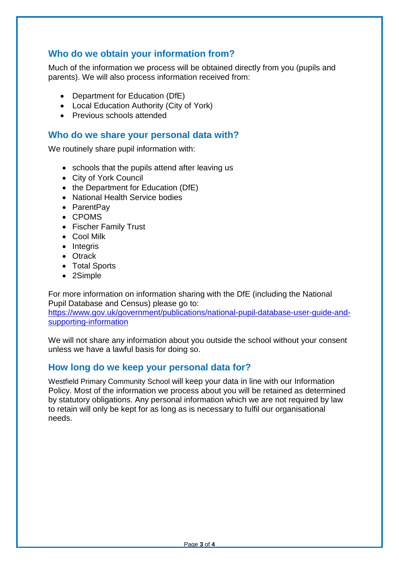## **Who do we obtain your information from?**

Much of the information we process will be obtained directly from you (pupils and parents). We will also process information received from:

- Department for Education (DfE)
- Local Education Authority (City of York)
- Previous schools attended

#### **Who do we share your personal data with?**

We routinely share pupil information with:

- schools that the pupils attend after leaving us
- City of York Council
- the Department for Education (DfE)
- National Health Service bodies
- ParentPay
- CPOMS
- Fischer Family Trust
- Cool Milk
- Integris
- Otrack
- Total Sports
- 2Simple

For more information on information sharing with the DfE (including the National Pupil Database and Census) please go to:

[https://www.gov.uk/government/publications/national-pupil-database-user-guide-and](https://www.gov.uk/government/publications/national-pupil-database-user-guide-and-supporting-information)[supporting-information](https://www.gov.uk/government/publications/national-pupil-database-user-guide-and-supporting-information)

We will not share any information about you outside the school without your consent unless we have a lawful basis for doing so.

## **How long do we keep your personal data for?**

Westfield Primary Community School will keep your data in line with our Information Policy. Most of the information we process about you will be retained as determined by statutory obligations. Any personal information which we are not required by law to retain will only be kept for as long as is necessary to fulfil our organisational needs.